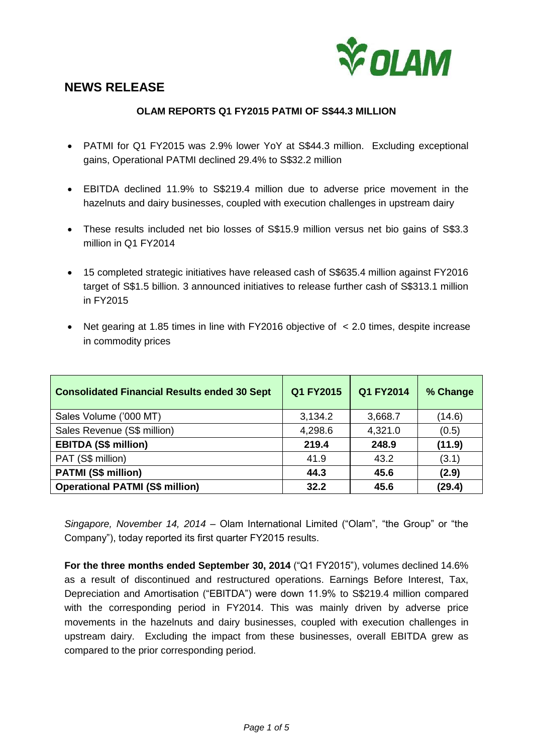

# **NEWS RELEASE**

#### **OLAM REPORTS Q1 FY2015 PATMI OF S\$44.3 MILLION**

- PATMI for Q1 FY2015 was 2.9% lower YoY at S\$44.3 million. Excluding exceptional gains, Operational PATMI declined 29.4% to S\$32.2 million
- EBITDA declined 11.9% to S\$219.4 million due to adverse price movement in the hazelnuts and dairy businesses, coupled with execution challenges in upstream dairy
- These results included net bio losses of S\$15.9 million versus net bio gains of S\$3.3 million in Q1 FY2014
- 15 completed strategic initiatives have released cash of S\$635.4 million against FY2016 target of S\$1.5 billion. 3 announced initiatives to release further cash of S\$313.1 million in FY2015
- Net gearing at 1.85 times in line with FY2016 objective of < 2.0 times, despite increase in commodity prices

| <b>Consolidated Financial Results ended 30 Sept</b> | Q1 FY2015 | Q1 FY2014 | % Change |
|-----------------------------------------------------|-----------|-----------|----------|
| Sales Volume ('000 MT)                              | 3,134.2   | 3,668.7   | (14.6)   |
| Sales Revenue (S\$ million)                         | 4,298.6   | 4,321.0   | (0.5)    |
| <b>EBITDA (S\$ million)</b>                         | 219.4     | 248.9     | (11.9)   |
| PAT (S\$ million)                                   | 41.9      | 43.2      | (3.1)    |
| <b>PATMI (S\$ million)</b>                          | 44.3      | 45.6      | (2.9)    |
| <b>Operational PATMI (S\$ million)</b>              | 32.2      | 45.6      | (29.4)   |

*Singapore, November 14, 2014 –* Olam International Limited ("Olam", "the Group" or "the Company"), today reported its first quarter FY2015 results.

**For the three months ended September 30, 2014** ("Q1 FY2015"), volumes declined 14.6% as a result of discontinued and restructured operations. Earnings Before Interest, Tax, Depreciation and Amortisation ("EBITDA") were down 11.9% to S\$219.4 million compared with the corresponding period in FY2014. This was mainly driven by adverse price movements in the hazelnuts and dairy businesses, coupled with execution challenges in upstream dairy. Excluding the impact from these businesses, overall EBITDA grew as compared to the prior corresponding period.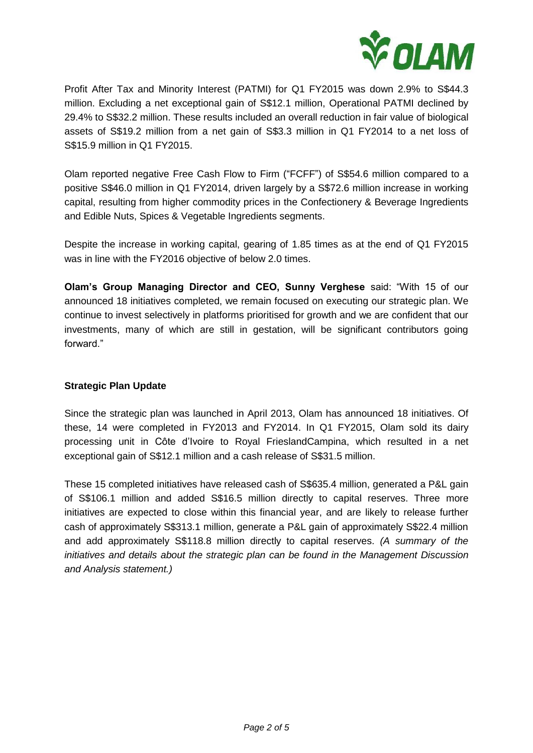

Profit After Tax and Minority Interest (PATMI) for Q1 FY2015 was down 2.9% to S\$44.3 million. Excluding a net exceptional gain of S\$12.1 million, Operational PATMI declined by 29.4% to S\$32.2 million. These results included an overall reduction in fair value of biological assets of S\$19.2 million from a net gain of S\$3.3 million in Q1 FY2014 to a net loss of S\$15.9 million in Q1 FY2015.

Olam reported negative Free Cash Flow to Firm ("FCFF") of S\$54.6 million compared to a positive S\$46.0 million in Q1 FY2014, driven largely by a S\$72.6 million increase in working capital, resulting from higher commodity prices in the Confectionery & Beverage Ingredients and Edible Nuts, Spices & Vegetable Ingredients segments.

Despite the increase in working capital, gearing of 1.85 times as at the end of Q1 FY2015 was in line with the FY2016 objective of below 2.0 times.

**Olam's Group Managing Director and CEO, Sunny Verghese** said: "With 15 of our announced 18 initiatives completed, we remain focused on executing our strategic plan. We continue to invest selectively in platforms prioritised for growth and we are confident that our investments, many of which are still in gestation, will be significant contributors going forward."

### **Strategic Plan Update**

Since the strategic plan was launched in April 2013, Olam has announced 18 initiatives. Of these, 14 were completed in FY2013 and FY2014. In Q1 FY2015, Olam sold its dairy processing unit in Côte d'Ivoire to Royal FrieslandCampina, which resulted in a net exceptional gain of S\$12.1 million and a cash release of S\$31.5 million.

These 15 completed initiatives have released cash of S\$635.4 million, generated a P&L gain of S\$106.1 million and added S\$16.5 million directly to capital reserves. Three more initiatives are expected to close within this financial year, and are likely to release further cash of approximately S\$313.1 million, generate a P&L gain of approximately S\$22.4 million and add approximately S\$118.8 million directly to capital reserves. *(A summary of the initiatives and details about the strategic plan can be found in the Management Discussion and Analysis statement.)*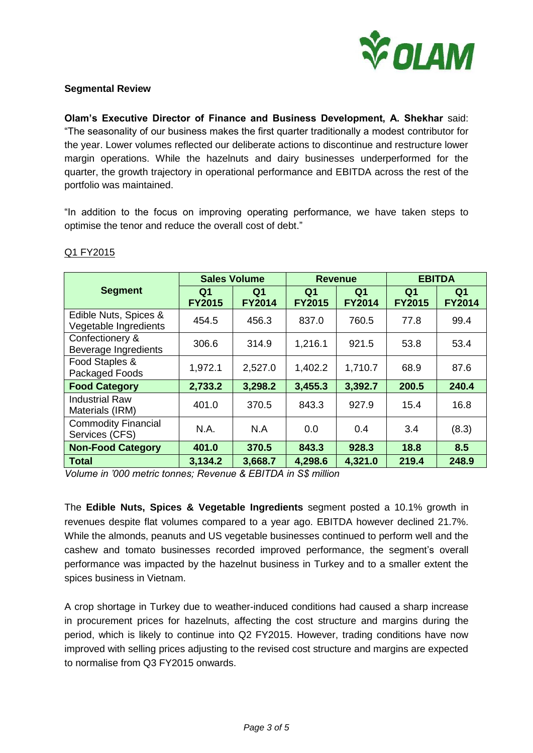

#### **Segmental Review**

**Olam's Executive Director of Finance and Business Development, A. Shekhar** said: "The seasonality of our business makes the first quarter traditionally a modest contributor for the year. Lower volumes reflected our deliberate actions to discontinue and restructure lower margin operations. While the hazelnuts and dairy businesses underperformed for the quarter, the growth trajectory in operational performance and EBITDA across the rest of the portfolio was maintained.

"In addition to the focus on improving operating performance, we have taken steps to optimise the tenor and reduce the overall cost of debt."

|                                                | <b>Sales Volume</b>             |                                 | <b>Revenue</b>                  |                                 | <b>EBITDA</b>                   |                                 |
|------------------------------------------------|---------------------------------|---------------------------------|---------------------------------|---------------------------------|---------------------------------|---------------------------------|
| <b>Segment</b>                                 | Q <sub>1</sub><br><b>FY2015</b> | Q <sub>1</sub><br><b>FY2014</b> | Q <sub>1</sub><br><b>FY2015</b> | Q <sub>1</sub><br><b>FY2014</b> | Q <sub>1</sub><br><b>FY2015</b> | Q <sub>1</sub><br><b>FY2014</b> |
| Edible Nuts, Spices &<br>Vegetable Ingredients | 454.5                           | 456.3                           | 837.0                           | 760.5                           | 77.8                            | 99.4                            |
| Confectionery &<br>Beverage Ingredients        | 306.6                           | 314.9                           | 1,216.1                         | 921.5                           | 53.8                            | 53.4                            |
| Food Staples &<br>Packaged Foods               | 1,972.1                         | 2,527.0                         | 1,402.2                         | 1,710.7                         | 68.9                            | 87.6                            |
| <b>Food Category</b>                           | 2,733.2                         | 3,298.2                         | 3,455.3                         | 3,392.7                         | 200.5                           | 240.4                           |
| <b>Industrial Raw</b><br>Materials (IRM)       | 401.0                           | 370.5                           | 843.3                           | 927.9                           | 15.4                            | 16.8                            |
| <b>Commodity Financial</b><br>Services (CFS)   | N.A.                            | N.A                             | 0.0                             | 0.4                             | 3.4                             | (8.3)                           |
| <b>Non-Food Category</b>                       | 401.0                           | 370.5                           | 843.3                           | 928.3                           | 18.8                            | 8.5                             |
| <b>Total</b>                                   | 3,134.2                         | 3,668.7                         | 4,298.6                         | 4,321.0                         | 219.4                           | 248.9                           |

#### Q1 FY2015

*Volume in '000 metric tonnes; Revenue & EBITDA in S\$ million*

The **Edible Nuts, Spices & Vegetable Ingredients** segment posted a 10.1% growth in revenues despite flat volumes compared to a year ago. EBITDA however declined 21.7%. While the almonds, peanuts and US vegetable businesses continued to perform well and the cashew and tomato businesses recorded improved performance, the segment's overall performance was impacted by the hazelnut business in Turkey and to a smaller extent the spices business in Vietnam.

A crop shortage in Turkey due to weather-induced conditions had caused a sharp increase in procurement prices for hazelnuts, affecting the cost structure and margins during the period, which is likely to continue into Q2 FY2015. However, trading conditions have now improved with selling prices adjusting to the revised cost structure and margins are expected to normalise from Q3 FY2015 onwards.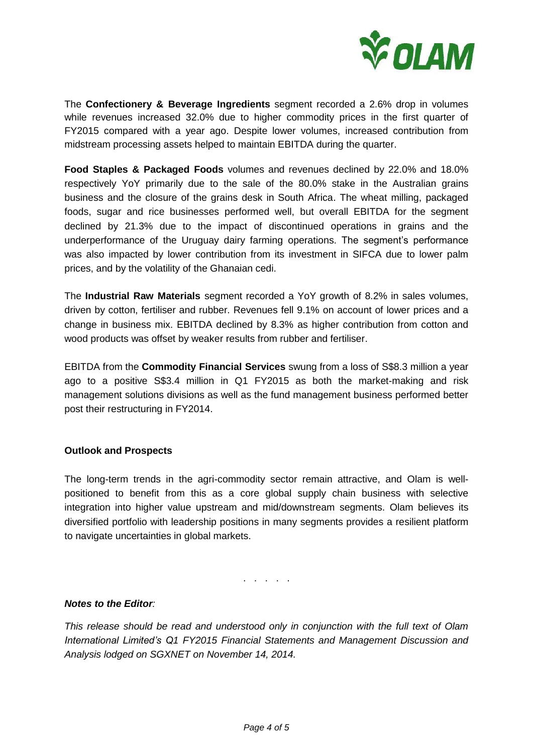

The **Confectionery & Beverage Ingredients** segment recorded a 2.6% drop in volumes while revenues increased 32.0% due to higher commodity prices in the first quarter of FY2015 compared with a year ago. Despite lower volumes, increased contribution from midstream processing assets helped to maintain EBITDA during the quarter.

**Food Staples & Packaged Foods** volumes and revenues declined by 22.0% and 18.0% respectively YoY primarily due to the sale of the 80.0% stake in the Australian grains business and the closure of the grains desk in South Africa. The wheat milling, packaged foods, sugar and rice businesses performed well, but overall EBITDA for the segment declined by 21.3% due to the impact of discontinued operations in grains and the underperformance of the Uruguay dairy farming operations. The segment's performance was also impacted by lower contribution from its investment in SIFCA due to lower palm prices, and by the volatility of the Ghanaian cedi.

The **Industrial Raw Materials** segment recorded a YoY growth of 8.2% in sales volumes, driven by cotton, fertiliser and rubber. Revenues fell 9.1% on account of lower prices and a change in business mix. EBITDA declined by 8.3% as higher contribution from cotton and wood products was offset by weaker results from rubber and fertiliser.

EBITDA from the **Commodity Financial Services** swung from a loss of S\$8.3 million a year ago to a positive S\$3.4 million in Q1 FY2015 as both the market-making and risk management solutions divisions as well as the fund management business performed better post their restructuring in FY2014.

#### **Outlook and Prospects**

The long-term trends in the agri-commodity sector remain attractive, and Olam is wellpositioned to benefit from this as a core global supply chain business with selective integration into higher value upstream and mid/downstream segments. Olam believes its diversified portfolio with leadership positions in many segments provides a resilient platform to navigate uncertainties in global markets.

. . . . .

## *Notes to the Editor:*

*This release should be read and understood only in conjunction with the full text of Olam International Limited's Q1 FY2015 Financial Statements and Management Discussion and Analysis lodged on SGXNET on November 14, 2014.*